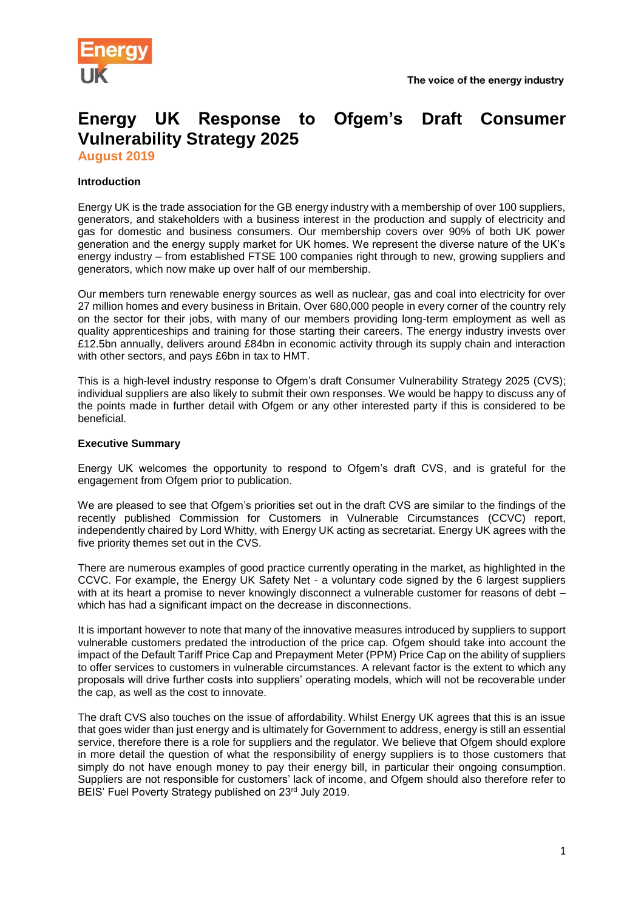

# **Energy UK Response to Ofgem's Draft Consumer Vulnerability Strategy 2025 August 2019**

## **Introduction**

Energy UK is the trade association for the GB energy industry with a membership of over 100 suppliers, generators, and stakeholders with a business interest in the production and supply of electricity and gas for domestic and business consumers. Our membership covers over 90% of both UK power generation and the energy supply market for UK homes. We represent the diverse nature of the UK's energy industry – from established FTSE 100 companies right through to new, growing suppliers and generators, which now make up over half of our membership.

Our members turn renewable energy sources as well as nuclear, gas and coal into electricity for over 27 million homes and every business in Britain. Over 680,000 people in every corner of the country rely on the sector for their jobs, with many of our members providing long-term employment as well as quality apprenticeships and training for those starting their careers. The energy industry invests over £12.5bn annually, delivers around £84bn in economic activity through its supply chain and interaction with other sectors, and pays £6bn in tax to HMT.

This is a high-level industry response to Ofgem's draft Consumer Vulnerability Strategy 2025 (CVS); individual suppliers are also likely to submit their own responses. We would be happy to discuss any of the points made in further detail with Ofgem or any other interested party if this is considered to be beneficial.

#### **Executive Summary**

Energy UK welcomes the opportunity to respond to Ofgem's draft CVS, and is grateful for the engagement from Ofgem prior to publication.

We are pleased to see that Ofgem's priorities set out in the draft CVS are similar to the findings of the recently published Commission for Customers in Vulnerable Circumstances (CCVC) report, independently chaired by Lord Whitty, with Energy UK acting as secretariat. Energy UK agrees with the five priority themes set out in the CVS.

There are numerous examples of good practice currently operating in the market, as highlighted in the CCVC. For example, the Energy UK Safety Net - a voluntary code signed by the 6 largest suppliers with at its heart a promise to never knowingly disconnect a vulnerable customer for reasons of debt which has had a significant impact on the decrease in disconnections.

It is important however to note that many of the innovative measures introduced by suppliers to support vulnerable customers predated the introduction of the price cap. Ofgem should take into account the impact of the Default Tariff Price Cap and Prepayment Meter (PPM) Price Cap on the ability of suppliers to offer services to customers in vulnerable circumstances. A relevant factor is the extent to which any proposals will drive further costs into suppliers' operating models, which will not be recoverable under the cap, as well as the cost to innovate.

The draft CVS also touches on the issue of affordability. Whilst Energy UK agrees that this is an issue that goes wider than just energy and is ultimately for Government to address, energy is still an essential service, therefore there is a role for suppliers and the regulator. We believe that Ofgem should explore in more detail the question of what the responsibility of energy suppliers is to those customers that simply do not have enough money to pay their energy bill, in particular their ongoing consumption. Suppliers are not responsible for customers' lack of income, and Ofgem should also therefore refer to BEIS' Fuel Poverty Strategy published on 23rd July 2019.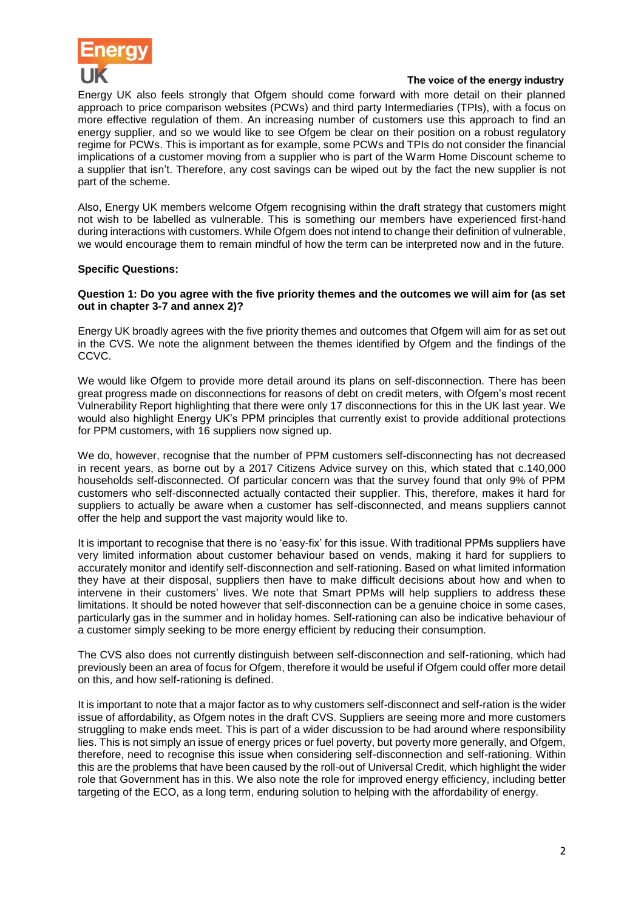

### The voice of the energy industry

Energy UK also feels strongly that Ofgem should come forward with more detail on their planned approach to price comparison websites (PCWs) and third party Intermediaries (TPIs), with a focus on more effective regulation of them. An increasing number of customers use this approach to find an energy supplier, and so we would like to see Ofgem be clear on their position on a robust regulatory regime for PCWs. This is important as for example, some PCWs and TPIs do not consider the financial implications of a customer moving from a supplier who is part of the Warm Home Discount scheme to a supplier that isn't. Therefore, any cost savings can be wiped out by the fact the new supplier is not part of the scheme.

Also, Energy UK members welcome Ofgem recognising within the draft strategy that customers might not wish to be labelled as vulnerable. This is something our members have experienced first-hand during interactions with customers. While Ofgem does not intend to change their definition of vulnerable, we would encourage them to remain mindful of how the term can be interpreted now and in the future.

# **Specific Questions:**

## **Question 1: Do you agree with the five priority themes and the outcomes we will aim for (as set out in chapter 3-7 and annex 2)?**

Energy UK broadly agrees with the five priority themes and outcomes that Ofgem will aim for as set out in the CVS. We note the alignment between the themes identified by Ofgem and the findings of the CCVC.

We would like Ofgem to provide more detail around its plans on self-disconnection. There has been great progress made on disconnections for reasons of debt on credit meters, with Ofgem's most recent Vulnerability Report highlighting that there were only 17 disconnections for this in the UK last year. We would also highlight Energy UK's PPM principles that currently exist to provide additional protections for PPM customers, with 16 suppliers now signed up.

We do, however, recognise that the number of PPM customers self-disconnecting has not decreased in recent years, as borne out by a 2017 Citizens Advice survey on this, which stated that c.140,000 households self-disconnected. Of particular concern was that the survey found that only 9% of PPM customers who self-disconnected actually contacted their supplier. This, therefore, makes it hard for suppliers to actually be aware when a customer has self-disconnected, and means suppliers cannot offer the help and support the vast majority would like to.

It is important to recognise that there is no 'easy-fix' for this issue. With traditional PPMs suppliers have very limited information about customer behaviour based on vends, making it hard for suppliers to accurately monitor and identify self-disconnection and self-rationing. Based on what limited information they have at their disposal, suppliers then have to make difficult decisions about how and when to intervene in their customers' lives. We note that Smart PPMs will help suppliers to address these limitations. It should be noted however that self-disconnection can be a genuine choice in some cases, particularly gas in the summer and in holiday homes. Self-rationing can also be indicative behaviour of a customer simply seeking to be more energy efficient by reducing their consumption.

The CVS also does not currently distinguish between self-disconnection and self-rationing, which had previously been an area of focus for Ofgem, therefore it would be useful if Ofgem could offer more detail on this, and how self-rationing is defined.

It is important to note that a major factor as to why customers self-disconnect and self-ration is the wider issue of affordability, as Ofgem notes in the draft CVS. Suppliers are seeing more and more customers struggling to make ends meet. This is part of a wider discussion to be had around where responsibility lies. This is not simply an issue of energy prices or fuel poverty, but poverty more generally, and Ofgem, therefore, need to recognise this issue when considering self-disconnection and self-rationing. Within this are the problems that have been caused by the roll-out of Universal Credit, which highlight the wider role that Government has in this. We also note the role for improved energy efficiency, including better targeting of the ECO, as a long term, enduring solution to helping with the affordability of energy.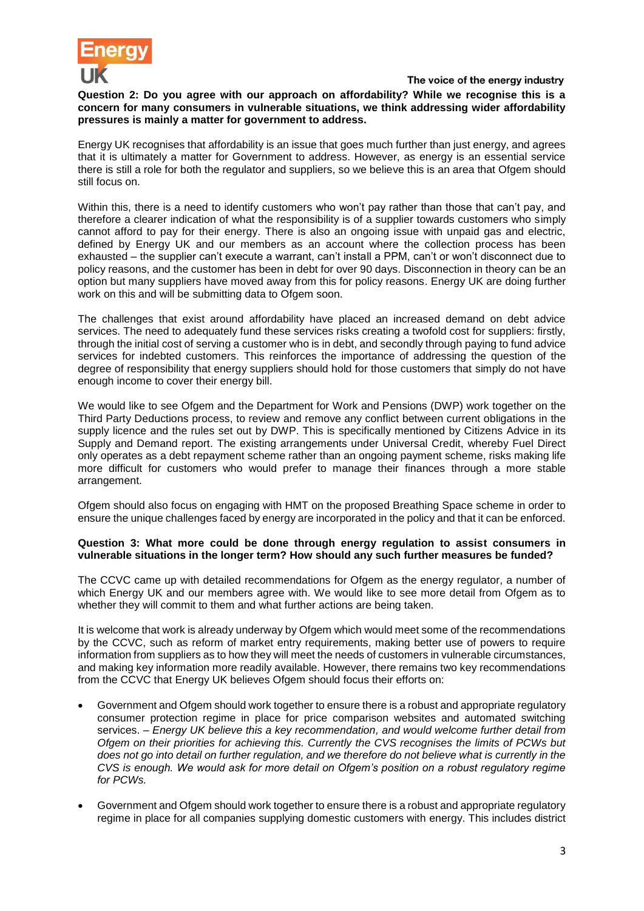

#### The voice of the energy industry

**Question 2: Do you agree with our approach on affordability? While we recognise this is a concern for many consumers in vulnerable situations, we think addressing wider affordability pressures is mainly a matter for government to address.**

Energy UK recognises that affordability is an issue that goes much further than just energy, and agrees that it is ultimately a matter for Government to address. However, as energy is an essential service there is still a role for both the regulator and suppliers, so we believe this is an area that Ofgem should still focus on.

Within this, there is a need to identify customers who won't pay rather than those that can't pay, and therefore a clearer indication of what the responsibility is of a supplier towards customers who simply cannot afford to pay for their energy. There is also an ongoing issue with unpaid gas and electric. defined by Energy UK and our members as an account where the collection process has been exhausted – the supplier can't execute a warrant, can't install a PPM, can't or won't disconnect due to policy reasons, and the customer has been in debt for over 90 days. Disconnection in theory can be an option but many suppliers have moved away from this for policy reasons. Energy UK are doing further work on this and will be submitting data to Ofgem soon.

The challenges that exist around affordability have placed an increased demand on debt advice services. The need to adequately fund these services risks creating a twofold cost for suppliers: firstly, through the initial cost of serving a customer who is in debt, and secondly through paying to fund advice services for indebted customers. This reinforces the importance of addressing the question of the degree of responsibility that energy suppliers should hold for those customers that simply do not have enough income to cover their energy bill.

We would like to see Ofgem and the Department for Work and Pensions (DWP) work together on the Third Party Deductions process, to review and remove any conflict between current obligations in the supply licence and the rules set out by DWP. This is specifically mentioned by Citizens Advice in its Supply and Demand report. The existing arrangements under Universal Credit, whereby Fuel Direct only operates as a debt repayment scheme rather than an ongoing payment scheme, risks making life more difficult for customers who would prefer to manage their finances through a more stable arrangement.

Ofgem should also focus on engaging with HMT on the proposed Breathing Space scheme in order to ensure the unique challenges faced by energy are incorporated in the policy and that it can be enforced.

#### **Question 3: What more could be done through energy regulation to assist consumers in vulnerable situations in the longer term? How should any such further measures be funded?**

The CCVC came up with detailed recommendations for Ofgem as the energy regulator, a number of which Energy UK and our members agree with. We would like to see more detail from Ofgem as to whether they will commit to them and what further actions are being taken.

It is welcome that work is already underway by Ofgem which would meet some of the recommendations by the CCVC, such as reform of market entry requirements, making better use of powers to require information from suppliers as to how they will meet the needs of customers in vulnerable circumstances, and making key information more readily available. However, there remains two key recommendations from the CCVC that Energy UK believes Ofgem should focus their efforts on:

- Government and Ofgem should work together to ensure there is a robust and appropriate regulatory consumer protection regime in place for price comparison websites and automated switching services. – *Energy UK believe this a key recommendation, and would welcome further detail from Ofgem on their priorities for achieving this. Currently the CVS recognises the limits of PCWs but does not go into detail on further regulation, and we therefore do not believe what is currently in the CVS is enough. We would ask for more detail on Ofgem's position on a robust regulatory regime for PCWs.*
- Government and Ofgem should work together to ensure there is a robust and appropriate regulatory regime in place for all companies supplying domestic customers with energy. This includes district